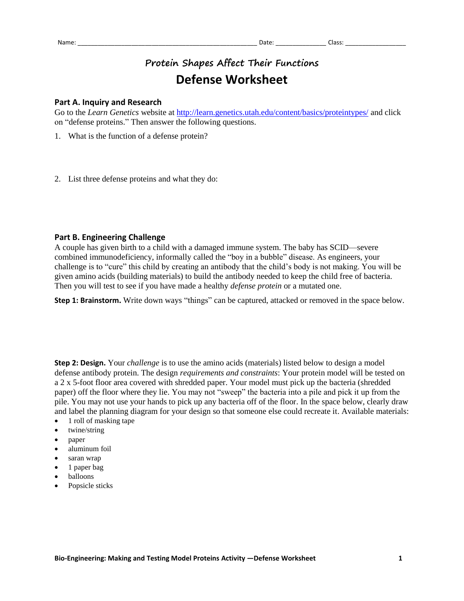## **Protein Shapes Affect Their Functions Defense Worksheet**

## **Part A. Inquiry and Research**

Go to the *Learn Genetics* website at<http://learn.genetics.utah.edu/content/basics/proteintypes/> and click on "defense proteins." Then answer the following questions.

- 1. What is the function of a defense protein?
- 2. List three defense proteins and what they do:

## **Part B. Engineering Challenge**

A couple has given birth to a child with a damaged immune system. The baby has SCID—severe combined immunodeficiency, informally called the "boy in a bubble" disease. As engineers, your challenge is to "cure" this child by creating an antibody that the child's body is not making. You will be given amino acids (building materials) to build the antibody needed to keep the child free of bacteria. Then you will test to see if you have made a healthy *defense protein* or a mutated one.

**Step 1: Brainstorm.** Write down ways "things" can be captured, attacked or removed in the space below.

**Step 2: Design.** Your *challenge* is to use the amino acids (materials) listed below to design a model defense antibody protein. The design *requirements and constraints*: Your protein model will be tested on a 2 x 5-foot floor area covered with shredded paper. Your model must pick up the bacteria (shredded paper) off the floor where they lie. You may not "sweep" the bacteria into a pile and pick it up from the pile. You may not use your hands to pick up any bacteria off of the floor. In the space below, clearly draw and label the planning diagram for your design so that someone else could recreate it. Available materials:

- 1 roll of masking tape
- twine/string
- paper
- aluminum foil
- saran wrap
- $\bullet$  1 paper bag
- balloons
- Popsicle sticks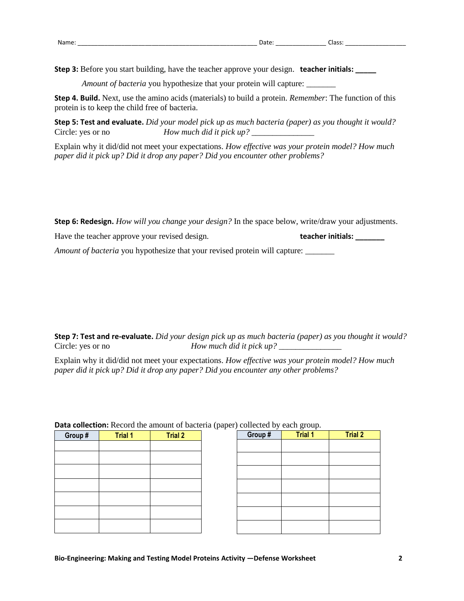**Step 3:** Before you start building, have the teacher approve your design. **teacher initials: \_\_\_\_\_**

*Amount of bacteria* you hypothesize that your protein will capture: \_\_\_\_\_\_\_\_

**Step 4. Build.** Next, use the amino acids (materials) to build a protein. *Remember*: The function of this protein is to keep the child free of bacteria.

**Step 5: Test and evaluate.** *Did your model pick up as much bacteria (paper) as you thought it would?* Circle: yes or no *How much did it pick up?* \_\_\_\_\_\_\_\_\_\_\_\_\_\_\_

Explain why it did/did not meet your expectations. *How effective was your protein model? How much paper did it pick up? Did it drop any paper? Did you encounter other problems?*

**Step 6: Redesign.** *How will you change your design?* In the space below, write/draw your adjustments.

| Have the teacher approve your revised design.                              | teacher initials: |  |  |  |
|----------------------------------------------------------------------------|-------------------|--|--|--|
| Amount of bacteria you hypothesize that your revised protein will capture: |                   |  |  |  |

**Step 7: Test and re-evaluate.** *Did your design pick up as much bacteria (paper) as you thought it would?* Circle: yes or no *How much did it pick up*?

Explain why it did/did not meet your expectations. *How effective was your protein model? How much paper did it pick up? Did it drop any paper? Did you encounter any other problems?*

|         |                | <b>Data concerton:</b> Record the amount of bacteria (paper) concerted by each group. |         |                |                |
|---------|----------------|---------------------------------------------------------------------------------------|---------|----------------|----------------|
| Group # | <b>Trial 1</b> | <b>Trial 2</b>                                                                        | Group # | <b>Trial 1</b> | <b>Trial 2</b> |
|         |                |                                                                                       |         |                |                |
|         |                |                                                                                       |         |                |                |
|         |                |                                                                                       |         |                |                |
|         |                |                                                                                       |         |                |                |
|         |                |                                                                                       |         |                |                |
|         |                |                                                                                       |         |                |                |
|         |                |                                                                                       |         |                |                |

| Group # | <b>Trial 1</b> | <b>Trial 2</b> |
|---------|----------------|----------------|
|         |                |                |
|         |                |                |
|         |                |                |
|         |                |                |
|         |                |                |
|         |                |                |
|         |                |                |

**Data collection:** Record the amount of bacteria (paper) collected by each group.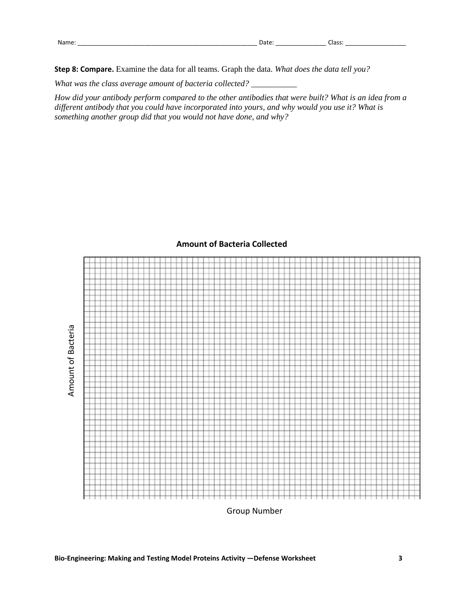**Step 8: Compare.** Examine the data for all teams. Graph the data. *What does the data tell you?*

*What was the class average amount of bacteria collected?* \_\_\_\_\_\_\_\_\_\_\_

*How did your antibody perform compared to the other antibodies that were built? What is an idea from a different antibody that you could have incorporated into yours, and why would you use it? What is something another group did that you would not have done, and why?*



## **Amount of Bacteria Collected**